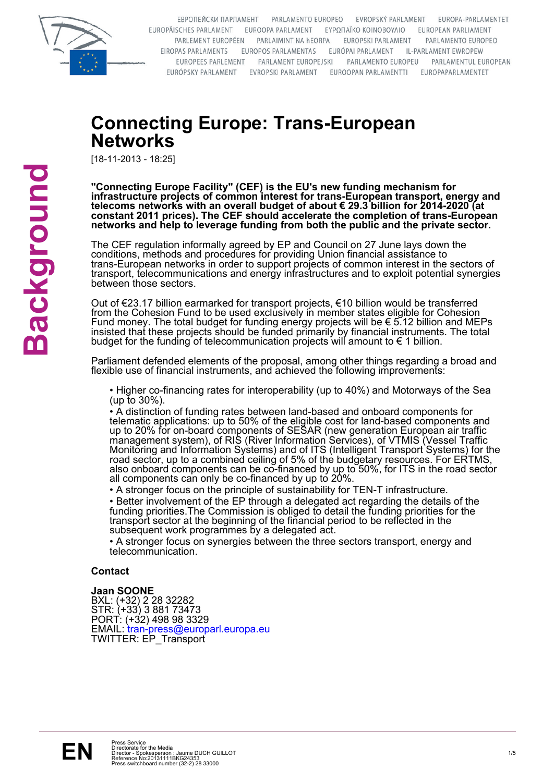

EBPOΠΕЙСКИ ПАРЛАМЕНТ РАRLAMENTO EUROPEO EVROPSKÝ PARLAMENT FUROPA-PARLAMENTET EUROPÄISCHES PARLAMENT EUROOPA PARLAMENT EΥΡΩΠΑΪΚΟ ΚΟΙΝΟΒΟΥΛΙΟ EUROPEAN PARLIAMENT PARLEMENT EUROPÉEN PARLAIMINT NA hEORPA **EUROPSKI PARLAMENT** PARLAMENTO EUROPEO EIROPAS PARLAMENTS EUROPOS PARLAMENTAS EURÓPAI PARLAMENT IL-PARLAMENT EWROPEW EUROPEES PARLEMENT PARLAMENT EUROPEJSKI PARLAMENTO EUROPEU PARLAMENTUL EUROPEAN EURÓPSKY PARLAMENT EVROPSKI PARLAMENT EUROOPAN PARLAMENTTI EUROPAPARLAMENTET

## **Connecting Europe: Trans-European Networks**

[18-11-2013 - 18:25]

**"Connecting Europe Facility" (CEF) is the EU's new funding mechanism for infrastructure projects of common interest for trans-European transport, energy and telecoms networks with an overall budget of about € 29.3 billion for 2014-2020 (at constant 2011 prices). The CEF should accelerate the completion of trans-European networks and help to leverage funding from both the public and the private sector.**

The CEF regulation informally agreed by EP and Council on 27 June lays down the conditions, methods and procedures for providing Union financial assistance to trans-European networks in order to support projects of common interest in the sectors of transport, telecommunications and energy infrastructures and to exploit potential synergies between those sectors.

Out of €23.17 billion earmarked for transport projects, €10 billion would be transferred from the Cohesion Fund to be used exclusively in member states eligible for Cohesion Fund money. The total budget for funding energy projects will be € 5.12 billion and MEPs insisted that these projects should be funded primarily by financial instruments. The total budget for the funding of telecommunication projects will amount to € 1 billion.

Parliament defended elements of the proposal, among other things regarding a broad and flexible use of financial instruments, and achieved the following improvements:

• Higher co-financing rates for interoperability (up to 40%) and Motorways of the Sea (up to 30%).

• A distinction of funding rates between land-based and onboard components for telematic applications: up to 50% of the eligible cost for land-based components and up to 20% for on-board components of SESAR (new generation European air traffic management system), of RIS (River Information Services), of VTMIS (Vessel Traffic Monitoring and Information Systems) and of ITS (Intelligent Transport Systems) for the road sector, up to a combined ceiling of 5% of the budgetary resources. For ERTMS, also onboard components can be co-financed by up to 50%, for ITS in the road sector all components can only be co-financed by up to 20%.

• A stronger focus on the principle of sustainability for TEN-T infrastructure.

• Better involvement of the EP through a delegated act regarding the details of the funding priorities.The Commission is obliged to detail the funding priorities for the transport sector at the beginning of the financial period to be reflected in the subsequent work programmes by a delegated act.

• A stronger focus on synergies between the three sectors transport, energy and telecommunication.

#### **Contact**

#### **Jaan SOONE**

TWITTER: EP\_Transport EMAIL: tran-press@europarl.europa.eu PORT: (+32) 498 98 3329 STR: (+33) 3 881 73473 BXL: (+32) 2 28 32282

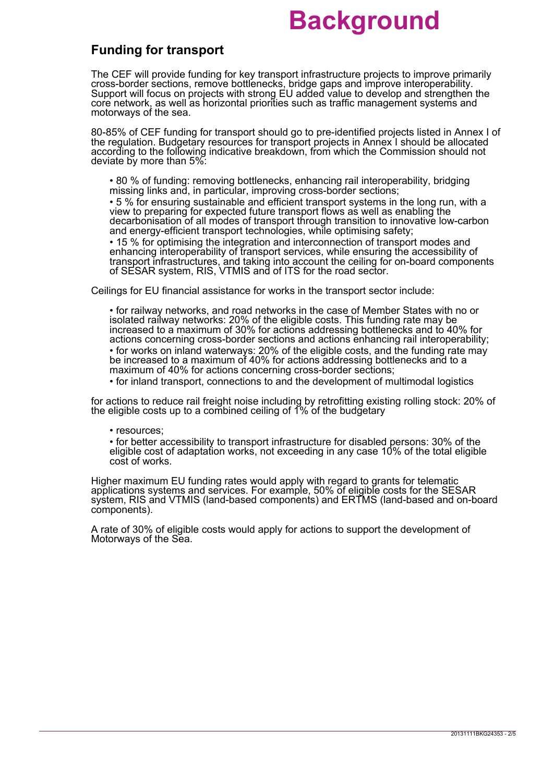### **Funding for transport**

The CEF will provide funding for key transport infrastructure projects to improve primarily cross-border sections, remove bottlenecks, bridge gaps and improve interoperability. Support will focus on projects with strong EU added value to develop and strengthen the core network, as well as horizontal priorities such as traffic management systems and motorways of the sea.

80-85% of CEF funding for transport should go to pre-identified projects listed in Annex I of the regulation. Budgetary resources for transport projects in Annex I should be allocated according to the following indicative breakdown, from which the Commission should not deviate by more than 5%:

• 80 % of funding: removing bottlenecks, enhancing rail interoperability, bridging missing links and, in particular, improving cross-border sections;

• 5 % for ensuring sustainable and efficient transport systems in the long run, with a view to preparing for expected future transport flows as well as enabling the decarbonisation of all modes of transport through transition to innovative low-carbon and energy-efficient transport technologies, while optimising safety;

• 15 % for optimising the integration and interconnection of transport modes and enhancing interoperability of transport services, while ensuring the accessibility of transport infrastructures, and taking into account the ceiling for on-board components of SESAR system, RIS, VTMIS and of ITS for the road sector.

Ceilings for EU financial assistance for works in the transport sector include:

• for works on inland waterways: 20% of the eligible costs, and the funding rate may be increased to a maximum of 40% for actions addressing bottlenecks and to a maximum of 40% for actions concerning cross-border sections; • for railway networks, and road networks in the case of Member States with no or isolated railway networks: 20% of the eligible costs. This funding rate may be increased to a maximum of 30% for actions addressing bottlenecks and to 40% for actions concerning cross-border sections and actions enhancing rail interoperability;

• for inland transport, connections to and the development of multimodal logistics

for actions to reduce rail freight noise including by retrofitting existing rolling stock: 20% of the eligible costs up to a combined ceiling of 1% of the budgetary

• resources;

• for better accessibility to transport infrastructure for disabled persons: 30% of the eligible cost of adaptation works, not exceeding in any case 10% of the total eligible cost of works.

Higher maximum EU funding rates would apply with regard to grants for telematic applications systems and services. For example, 50% of eligible costs for the SESAR system, RIS and VTMIS (land-based components) and ERTMS (land-based and on-board components).

A rate of 30% of eligible costs would apply for actions to support the development of Motorways of the Sea.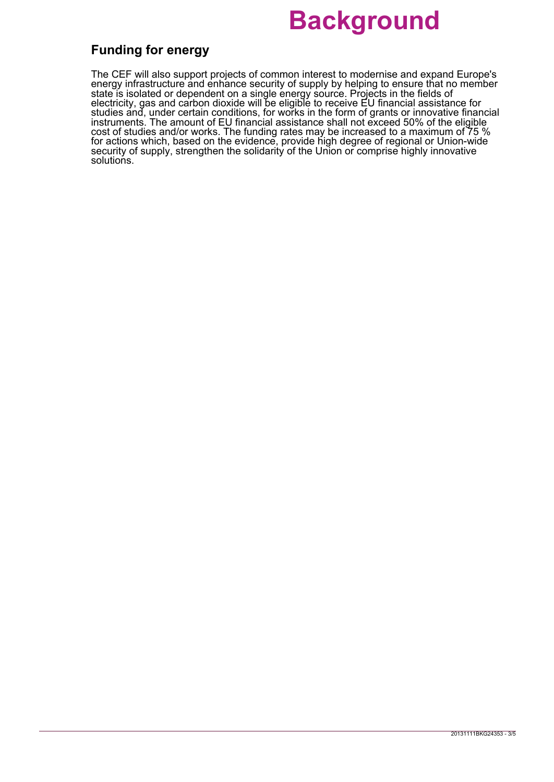### **Funding for energy**

The CEF will also support projects of common interest to modernise and expand Europe's energy infrastructure and enhance security of supply by helping to ensure that no member state is isolated or dependent on a single energy source. Projects in the fields of electricity, gas and carbon dioxide will be eligible to receive EU financial assistance for studies and, under certain conditions, for works in the form of grants or innovative financial instruments. The amount of EU financial assistance shall not exceed 50% of the eligible cost of studies and/or works. The funding rates may be increased to a maximum of 75 % for actions which, based on the evidence, provide high degree of regional or Union-wide security of supply, strengthen the solidarity of the Union or comprise highly innovative solutions.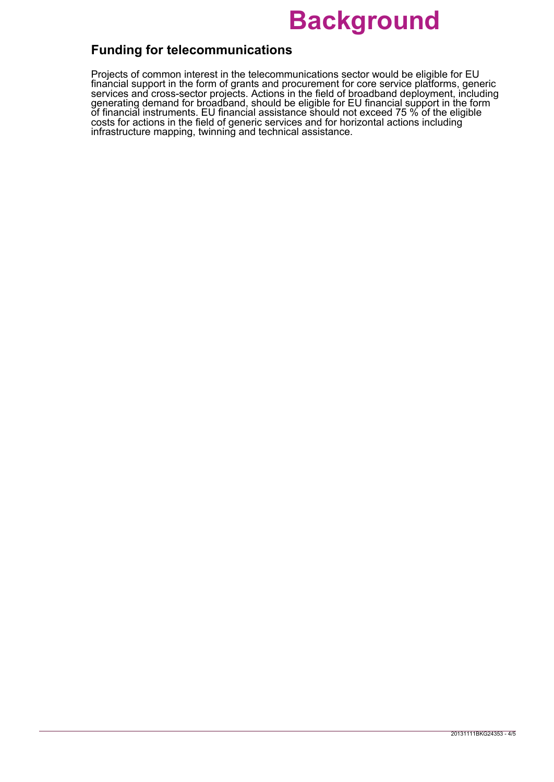### **Funding for telecommunications**

Projects of common interest in the telecommunications sector would be eligible for EU financial support in the form of grants and procurement for core service platforms, generic services and cross-sector projects. Actions in the field of broadband deployment, including generating demand for broadband, should be eligible for EU financial support in the form of financial instruments. EU financial assistance should not exceed 75 % of the eligible costs for actions in the field of generic services and for horizontal actions including infrastructure mapping, twinning and technical assistance.